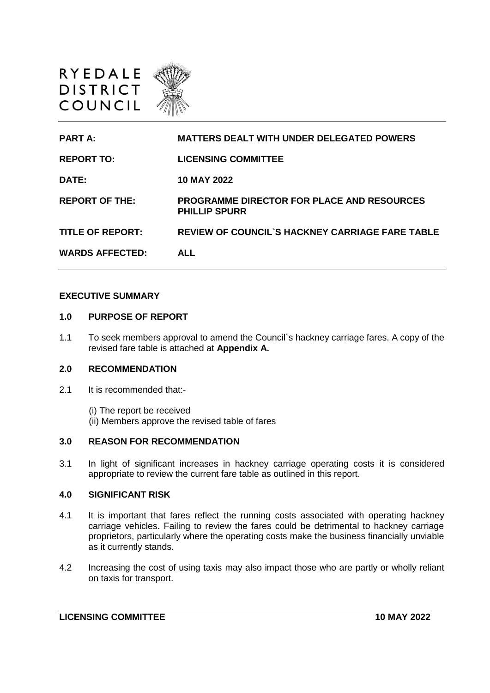



#### **EXECUTIVE SUMMARY**

#### **1.0 PURPOSE OF REPORT**

1.1 To seek members approval to amend the Council`s hackney carriage fares. A copy of the revised fare table is attached at **Appendix A.**

# **2.0 RECOMMENDATION**

- 2.1 It is recommended that:-
	- (i) The report be received
	- (ii) Members approve the revised table of fares

#### **3.0 REASON FOR RECOMMENDATION**

3.1 In light of significant increases in hackney carriage operating costs it is considered appropriate to review the current fare table as outlined in this report.

## **4.0 SIGNIFICANT RISK**

- 4.1 It is important that fares reflect the running costs associated with operating hackney carriage vehicles. Failing to review the fares could be detrimental to hackney carriage proprietors, particularly where the operating costs make the business financially unviable as it currently stands.
- 4.2 Increasing the cost of using taxis may also impact those who are partly or wholly reliant on taxis for transport.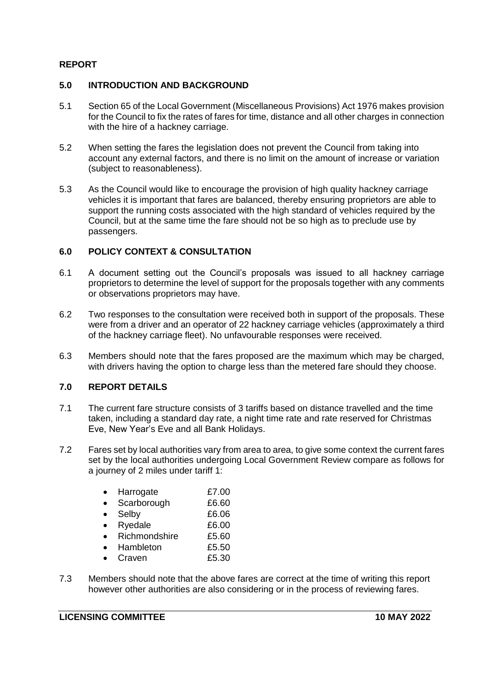# **REPORT**

### **5.0 INTRODUCTION AND BACKGROUND**

- 5.1 Section 65 of the Local Government (Miscellaneous Provisions) Act 1976 makes provision for the Council to fix the rates of fares for time, distance and all other charges in connection with the hire of a hackney carriage.
- 5.2 When setting the fares the legislation does not prevent the Council from taking into account any external factors, and there is no limit on the amount of increase or variation (subject to reasonableness).
- 5.3 As the Council would like to encourage the provision of high quality hackney carriage vehicles it is important that fares are balanced, thereby ensuring proprietors are able to support the running costs associated with the high standard of vehicles required by the Council, but at the same time the fare should not be so high as to preclude use by passengers.

### **6.0 POLICY CONTEXT & CONSULTATION**

- 6.1 A document setting out the Council's proposals was issued to all hackney carriage proprietors to determine the level of support for the proposals together with any comments or observations proprietors may have.
- 6.2 Two responses to the consultation were received both in support of the proposals. These were from a driver and an operator of 22 hackney carriage vehicles (approximately a third of the hackney carriage fleet). No unfavourable responses were received.
- 6.3 Members should note that the fares proposed are the maximum which may be charged, with drivers having the option to charge less than the metered fare should they choose.

### **7.0 REPORT DETAILS**

- 7.1 The current fare structure consists of 3 tariffs based on distance travelled and the time taken, including a standard day rate, a night time rate and rate reserved for Christmas Eve, New Year's Eve and all Bank Holidays.
- 7.2 Fares set by local authorities vary from area to area, to give some context the current fares set by the local authorities undergoing Local Government Review compare as follows for a journey of 2 miles under tariff 1:

| Harrogate     | £7.00 |
|---------------|-------|
| Scarborough   | £6.60 |
| Selby         | £6.06 |
| Ryedale       | £6.00 |
| Richmondshire | £5.60 |
| Hambleton     | £5.50 |
| Craven        | £5.30 |
|               |       |

7.3 Members should note that the above fares are correct at the time of writing this report however other authorities are also considering or in the process of reviewing fares.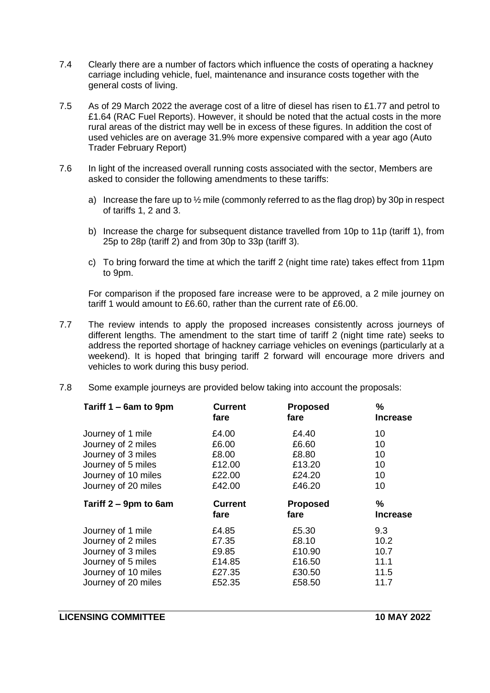- 7.4 Clearly there are a number of factors which influence the costs of operating a hackney carriage including vehicle, fuel, maintenance and insurance costs together with the general costs of living.
- 7.5 As of 29 March 2022 the average cost of a litre of diesel has risen to £1.77 and petrol to £1.64 (RAC Fuel Reports). However, it should be noted that the actual costs in the more rural areas of the district may well be in excess of these figures. In addition the cost of used vehicles are on average 31.9% more expensive compared with a year ago (Auto Trader February Report)
- 7.6 In light of the increased overall running costs associated with the sector, Members are asked to consider the following amendments to these tariffs:
	- a) Increase the fare up to ½ mile (commonly referred to as the flag drop) by 30p in respect of tariffs 1, 2 and 3.
	- b) Increase the charge for subsequent distance travelled from 10p to 11p (tariff 1), from 25p to 28p (tariff 2) and from 30p to 33p (tariff 3).
	- c) To bring forward the time at which the tariff 2 (night time rate) takes effect from 11pm to 9pm.

For comparison if the proposed fare increase were to be approved, a 2 mile journey on tariff 1 would amount to £6.60, rather than the current rate of £6.00.

- 7.7 The review intends to apply the proposed increases consistently across journeys of different lengths. The amendment to the start time of tariff 2 (night time rate) seeks to address the reported shortage of hackney carriage vehicles on evenings (particularly at a weekend). It is hoped that bringing tariff 2 forward will encourage more drivers and vehicles to work during this busy period.
- 7.8 Some example journeys are provided below taking into account the proposals:

| Tariff 1 – 6am to 9pm | <b>Current</b><br>fare | <b>Proposed</b><br>fare | %<br><b>Increase</b> |
|-----------------------|------------------------|-------------------------|----------------------|
| Journey of 1 mile     | £4.00                  | £4.40                   | 10                   |
| Journey of 2 miles    | £6.00                  | £6.60                   | 10                   |
| Journey of 3 miles    | £8.00                  | £8.80                   | 10                   |
| Journey of 5 miles    | £12.00                 | £13.20                  | 10                   |
| Journey of 10 miles   | £22.00                 | £24.20                  | 10                   |
| Journey of 20 miles   | £42.00                 | £46.20                  | 10                   |
|                       |                        |                         |                      |
| Tariff 2 – 9pm to 6am | <b>Current</b>         | <b>Proposed</b>         | %                    |
|                       | fare                   | fare                    | <b>Increase</b>      |
| Journey of 1 mile     | £4.85                  | £5.30                   | 9.3                  |
| Journey of 2 miles    | £7.35                  | £8.10                   | 10.2                 |
| Journey of 3 miles    | £9.85                  | £10.90                  | 10.7                 |
| Journey of 5 miles    | £14.85                 | £16.50                  | 11.1                 |
| Journey of 10 miles   | £27.35                 | £30.50                  | 11.5                 |
| Journey of 20 miles   | £52.35                 | £58.50                  | 11.7                 |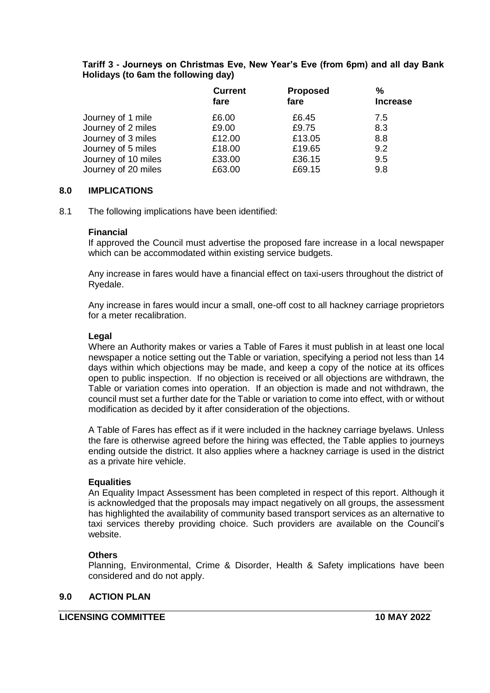## **Tariff 3 - Journeys on Christmas Eve, New Year's Eve (from 6pm) and all day Bank Holidays (to 6am the following day)**

|                     | <b>Current</b> | <b>Proposed</b> | %               |
|---------------------|----------------|-----------------|-----------------|
|                     | fare           | fare            | <b>Increase</b> |
| Journey of 1 mile   | £6.00          | £6.45           | 7.5             |
| Journey of 2 miles  | £9.00          | £9.75           | 8.3             |
| Journey of 3 miles  | £12.00         | £13.05          | 8.8             |
| Journey of 5 miles  | £18.00         | £19.65          | 9.2             |
| Journey of 10 miles | £33.00         | £36.15          | 9.5             |
| Journey of 20 miles | £63.00         | £69.15          | 9.8             |

### **8.0 IMPLICATIONS**

8.1 The following implications have been identified:

#### **Financial**

If approved the Council must advertise the proposed fare increase in a local newspaper which can be accommodated within existing service budgets.

Any increase in fares would have a financial effect on taxi-users throughout the district of Ryedale.

Any increase in fares would incur a small, one-off cost to all hackney carriage proprietors for a meter recalibration.

#### **Legal**

Where an Authority makes or varies a Table of Fares it must publish in at least one local newspaper a notice setting out the Table or variation, specifying a period not less than 14 days within which objections may be made, and keep a copy of the notice at its offices open to public inspection. If no objection is received or all objections are withdrawn, the Table or variation comes into operation. If an objection is made and not withdrawn, the council must set a further date for the Table or variation to come into effect, with or without modification as decided by it after consideration of the objections.

A Table of Fares has effect as if it were included in the hackney carriage byelaws. Unless the fare is otherwise agreed before the hiring was effected, the Table applies to journeys ending outside the district. It also applies where a hackney carriage is used in the district as a private hire vehicle.

### **Equalities**

An Equality Impact Assessment has been completed in respect of this report. Although it is acknowledged that the proposals may impact negatively on all groups, the assessment has highlighted the availability of community based transport services as an alternative to taxi services thereby providing choice. Such providers are available on the Council's website.

### **Others**

Planning, Environmental, Crime & Disorder, Health & Safety implications have been considered and do not apply.

### **9.0 ACTION PLAN**

#### **LICENSING COMMITTEE 10 MAY 2022**